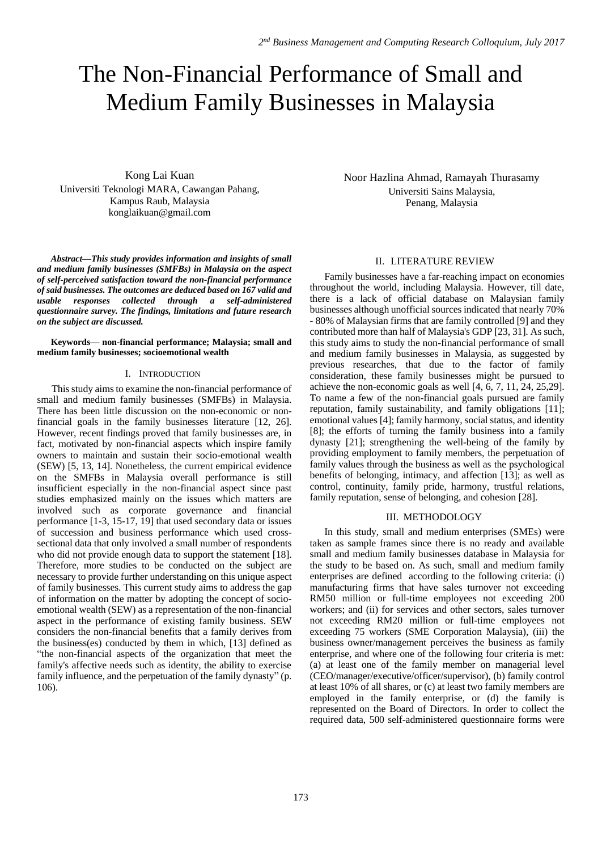# The Non-Financial Performance of Small and Medium Family Businesses in Malaysia

Kong Lai Kuan Universiti Teknologi MARA, Cawangan Pahang, Kampus Raub, Malaysia konglaikuan@gmail.com

*Abstract—This study provides information and insights of small and medium family businesses (SMFBs) in Malaysia on the aspect of self-perceived satisfaction toward the non-financial performance of said businesses. The outcomes are deduced based on 167 valid and usable responses collected through a self-administered questionnaire survey. The findings, limitations and future research on the subject are discussed.*

**Keywords— non-financial performance; Malaysia; small and medium family businesses; socioemotional wealth** 

### I. INTRODUCTION

This study aims to examine the non-financial performance of small and medium family businesses (SMFBs) in Malaysia. There has been little discussion on the non-economic or nonfinancial goals in the family businesses literature [12, 26]. However, recent findings proved that family businesses are, in fact, motivated by non-financial aspects which inspire family owners to maintain and sustain their socio-emotional wealth (SEW) [5, 13, 14]. Nonetheless, the current empirical evidence on the SMFBs in Malaysia overall performance is still insufficient especially in the non-financial aspect since past studies emphasized mainly on the issues which matters are involved such as corporate governance and financial performance [1-3, 15-17, 19] that used secondary data or issues of succession and business performance which used crosssectional data that only involved a small number of respondents who did not provide enough data to support the statement [18]. Therefore, more studies to be conducted on the subject are necessary to provide further understanding on this unique aspect of family businesses. This current study aims to address the gap of information on the matter by adopting the concept of socioemotional wealth (SEW) as a representation of the non-financial aspect in the performance of existing family business. SEW considers the non-financial benefits that a family derives from the business(es) conducted by them in which, [13] defined as "the non-financial aspects of the organization that meet the family's affective needs such as identity, the ability to exercise family influence, and the perpetuation of the family dynasty" (p. 106).

Noor Hazlina Ahmad, Ramayah Thurasamy Universiti Sains Malaysia, Penang, Malaysia

# II. LITERATURE REVIEW

Family businesses have a far-reaching impact on economies throughout the world, including Malaysia. However, till date, there is a lack of official database on Malaysian family businesses although unofficial sources indicated that nearly 70% - 80% of Malaysian firms that are family controlled [9] and they contributed more than half of Malaysia's GDP [23, 31]. As such, this study aims to study the non-financial performance of small and medium family businesses in Malaysia, as suggested by previous researches, that due to the factor of family consideration, these family businesses might be pursued to achieve the non-economic goals as well [4, 6, 7, 11, 24, 25,29]. To name a few of the non-financial goals pursued are family reputation, family sustainability, and family obligations [11]; emotional values [4]; family harmony, social status, and identity [8]; the efforts of turning the family business into a family dynasty [21]; strengthening the well-being of the family by providing employment to family members, the perpetuation of family values through the business as well as the psychological benefits of belonging, intimacy, and affection [13]; as well as control, continuity, family pride, harmony, trustful relations, family reputation, sense of belonging, and cohesion [28].

# III. METHODOLOGY

In this study, small and medium enterprises (SMEs) were taken as sample frames since there is no ready and available small and medium family businesses database in Malaysia for the study to be based on. As such, small and medium family enterprises are defined according to the following criteria: (i) manufacturing firms that have sales turnover not exceeding RM50 million or full-time employees not exceeding 200 workers; and (ii) for services and other sectors, sales turnover not exceeding RM20 million or full-time employees not exceeding 75 workers (SME Corporation Malaysia), (iii) the business owner/management perceives the business as family enterprise, and where one of the following four criteria is met: (a) at least one of the family member on managerial level (CEO/manager/executive/officer/supervisor), (b) family control at least 10% of all shares, or (c) at least two family members are employed in the family enterprise, or (d) the family is represented on the Board of Directors. In order to collect the required data, 500 self-administered questionnaire forms were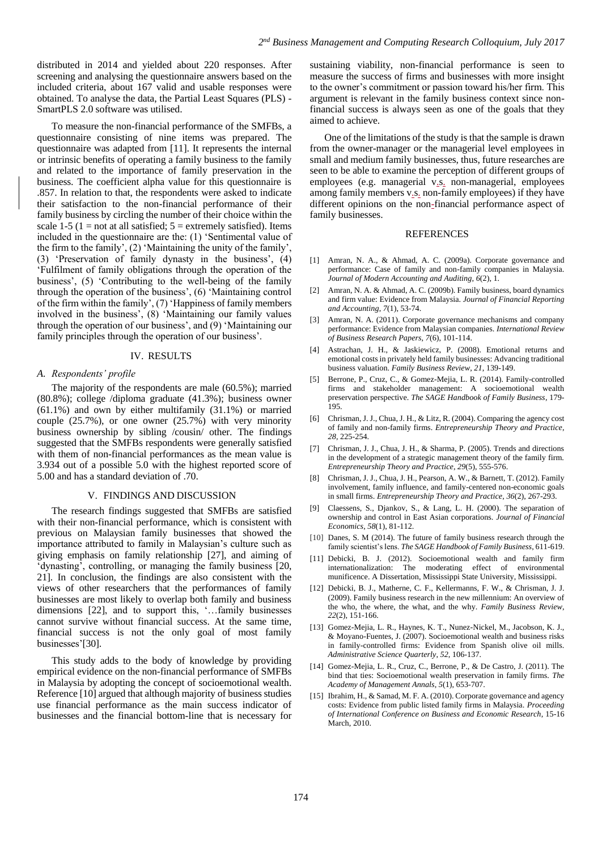distributed in 2014 and yielded about 220 responses. After screening and analysing the questionnaire answers based on the included criteria, about 167 valid and usable responses were obtained. To analyse the data, the Partial Least Squares (PLS) - SmartPLS 2.0 software was utilised.

To measure the non-financial performance of the SMFBs, a questionnaire consisting of nine items was prepared. The questionnaire was adapted from [11]. It represents the internal or intrinsic benefits of operating a family business to the family and related to the importance of family preservation in the business. The coefficient alpha value for this questionnaire is .857. In relation to that, the respondents were asked to indicate their satisfaction to the non-financial performance of their family business by circling the number of their choice within the scale 1-5 (1 = not at all satisfied;  $5 =$  extremely satisfied). Items included in the questionnaire are the: (1) 'Sentimental value of the firm to the family', (2) 'Maintaining the unity of the family', (3) 'Preservation of family dynasty in the business', (4) 'Fulfilment of family obligations through the operation of the business', (5) 'Contributing to the well-being of the family through the operation of the business', (6) 'Maintaining control of the firm within the family', (7) 'Happiness of family members involved in the business', (8) 'Maintaining our family values through the operation of our business', and (9) 'Maintaining our family principles through the operation of our business'.

#### IV. RESULTS

#### *A. Respondents' profile*

The majority of the respondents are male (60.5%); married (80.8%); college /diploma graduate (41.3%); business owner (61.1%) and own by either multifamily (31.1%) or married couple (25.7%), or one owner (25.7%) with very minority business ownership by sibling /cousin/ other. The findings suggested that the SMFBs respondents were generally satisfied with them of non-financial performances as the mean value is 3.934 out of a possible 5.0 with the highest reported score of 5.00 and has a standard deviation of .70.

#### V. FINDINGS AND DISCUSSION

The research findings suggested that SMFBs are satisfied with their non-financial performance, which is consistent with previous on Malaysian family businesses that showed the importance attributed to family in Malaysian's culture such as giving emphasis on family relationship [27], and aiming of 'dynasting', controlling, or managing the family business [20, 21]. In conclusion, the findings are also consistent with the views of other researchers that the performances of family businesses are most likely to overlap both family and business dimensions [22], and to support this, '…family businesses cannot survive without financial success. At the same time, financial success is not the only goal of most family businesses'[30].

This study adds to the body of knowledge by providing empirical evidence on the non-financial performance of SMFBs in Malaysia by adopting the concept of socioemotional wealth. Reference [10] argued that although majority of business studies use financial performance as the main success indicator of businesses and the financial bottom-line that is necessary for

sustaining viability, non-financial performance is seen to measure the success of firms and businesses with more insight to the owner's commitment or passion toward his/her firm. This argument is relevant in the family business context since nonfinancial success is always seen as one of the goals that they aimed to achieve.

One of the limitations of the study is that the sample is drawn from the owner-manager or the managerial level employees in small and medium family businesses, thus, future researches are seen to be able to examine the perception of different groups of employees (e.g. managerial v.s. non-managerial, employees among family members v.s. non-family employees) if they have different opinions on the non-financial performance aspect of family businesses.

#### REFERENCES

- [1] Amran, N. A., & Ahmad, A. C. (2009a). Corporate governance and performance: Case of family and non-family companies in Malaysia. *Journal of Modern Accounting and Auditing*, *6*(2), 1.
- [2] Amran, N. A. & Ahmad, A. C. (2009b). Family business, board dynamics and firm value: Evidence from Malaysia. *Journal of Financial Reporting and Accounting*, *7*(1), 53-74.
- [3] Amran, N. A. (2011). Corporate governance mechanisms and company performance: Evidence from Malaysian companies. *International Review of Business Research Papers, 7*(6), 101-114.
- [4] Astrachan, J. H., & Jaskiewicz, P. (2008). Emotional returns and emotional costs in privately held family businesses: Advancing traditional business valuation. *Family Business Review*, *21*, 139-149.
- [5] Berrone, P., Cruz, C., & Gomez-Mejia, L. R. (2014). Family-controlled firms and stakeholder management: A socioemotional wealth preservation perspective. *The SAGE Handbook of Family Business*, 179- 195.
- [6] Chrisman, J. J., Chua, J. H., & Litz, R. (2004). Comparing the agency cost of family and non-family firms. *Entrepreneurship Theory and Practice*, *28*, 225-254.
- [7] Chrisman, J. J., Chua, J. H., & Sharma, P. (2005). Trends and directions in the development of a strategic management theory of the family firm. *Entrepreneurship Theory and Practice*, *29*(5), 555-576.
- [8] Chrisman, J. J., Chua, J. H., Pearson, A. W., & Barnett, T. (2012). Family involvement, family influence, and family-centered non-economic goals in small firms. *Entrepreneurship Theory and Practice*, *36*(2), 267-293.
- Claessens, S., Djankov, S., & Lang, L. H. (2000). The separation of ownership and control in East Asian corporations. *Journal of Financial Economics*, *58*(1), 81-112.
- [10] Danes, S. M (2014). The future of family business research through the family scientist's lens. *The SAGE Handbook of Family Business*, 611-619.
- [11] Debicki, B. J. (2012). Socioemotional wealth and family firm internationalization: The moderating effect of environmental munificence. A Dissertation, Mississippi State University, Mississippi.
- [12] Debicki, B. J., Matherne, C. F., Kellermanns, F. W., & Chrisman, J. J. (2009). Family business research in the new millennium: An overview of the who, the where, the what, and the why. *Family Business Review*, *22*(2), 151-166.
- [13] Gomez-Mejia, L. R., Haynes, K. T., Nunez-Nickel, M., Jacobson, K. J., & Moyano-Fuentes, J. (2007). Socioemotional wealth and business risks in family-controlled firms: Evidence from Spanish olive oil mills. *Administrative Science Quarterly*, *52*, 106-137.
- [14] Gomez-Mejia, L. R., Cruz, C., Berrone, P., & De Castro, J. (2011). The bind that ties: Socioemotional wealth preservation in family firms. *The Academy of Management Annals*, *5*(1), 653-707.
- [15] Ibrahim, H., & Samad, M. F. A. (2010). Corporate governance and agency costs: Evidence from public listed family firms in Malaysia. *Proceeding of International Conference on Business and Economic Research*, 15-16 March, 2010.